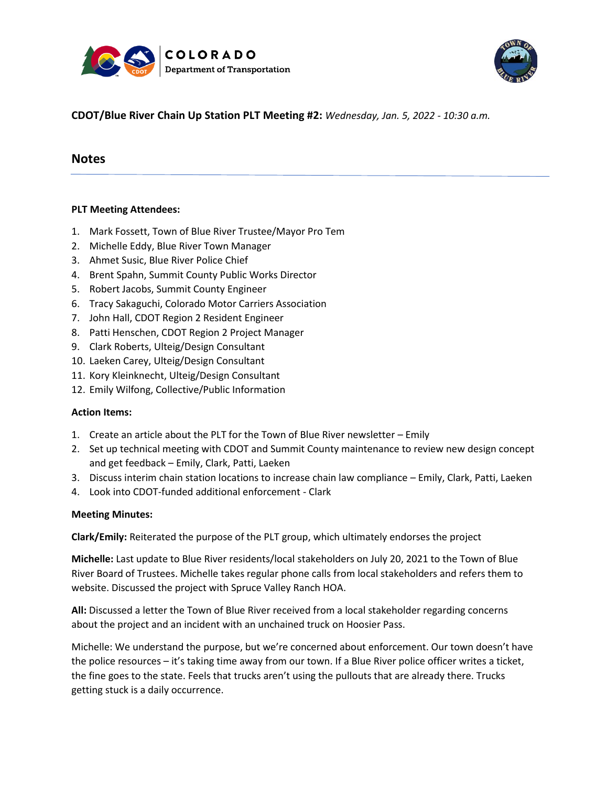



## **CDOT/Blue River Chain Up Station PLT Meeting #2:** *Wednesday, Jan. 5, 2022 - 10:30 a.m.*

# **Notes**

### **PLT Meeting Attendees:**

- 1. Mark Fossett, Town of Blue River Trustee/Mayor Pro Tem
- 2. Michelle Eddy, Blue River Town Manager
- 3. Ahmet Susic, Blue River Police Chief
- 4. Brent Spahn, Summit County Public Works Director
- 5. Robert Jacobs, Summit County Engineer
- 6. Tracy Sakaguchi, Colorado Motor Carriers Association
- 7. John Hall, CDOT Region 2 Resident Engineer
- 8. Patti Henschen, CDOT Region 2 Project Manager
- 9. Clark Roberts, Ulteig/Design Consultant
- 10. Laeken Carey, Ulteig/Design Consultant
- 11. Kory Kleinknecht, Ulteig/Design Consultant
- 12. Emily Wilfong, Collective/Public Information

#### **Action Items:**

- 1. Create an article about the PLT for the Town of Blue River newsletter Emily
- 2. Set up technical meeting with CDOT and Summit County maintenance to review new design concept and get feedback – Emily, Clark, Patti, Laeken
- 3. Discuss interim chain station locations to increase chain law compliance Emily, Clark, Patti, Laeken
- 4. Look into CDOT-funded additional enforcement Clark

#### **Meeting Minutes:**

**Clark/Emily:** Reiterated the purpose of the PLT group, which ultimately endorses the project

**Michelle:** Last update to Blue River residents/local stakeholders on July 20, 2021 to the Town of Blue River Board of Trustees. Michelle takes regular phone calls from local stakeholders and refers them to website. Discussed the project with Spruce Valley Ranch HOA.

**All:** Discussed a letter the Town of Blue River received from a local stakeholder regarding concerns about the project and an incident with an unchained truck on Hoosier Pass.

Michelle: We understand the purpose, but we're concerned about enforcement. Our town doesn't have the police resources – it's taking time away from our town. If a Blue River police officer writes a ticket, the fine goes to the state. Feels that trucks aren't using the pullouts that are already there. Trucks getting stuck is a daily occurrence.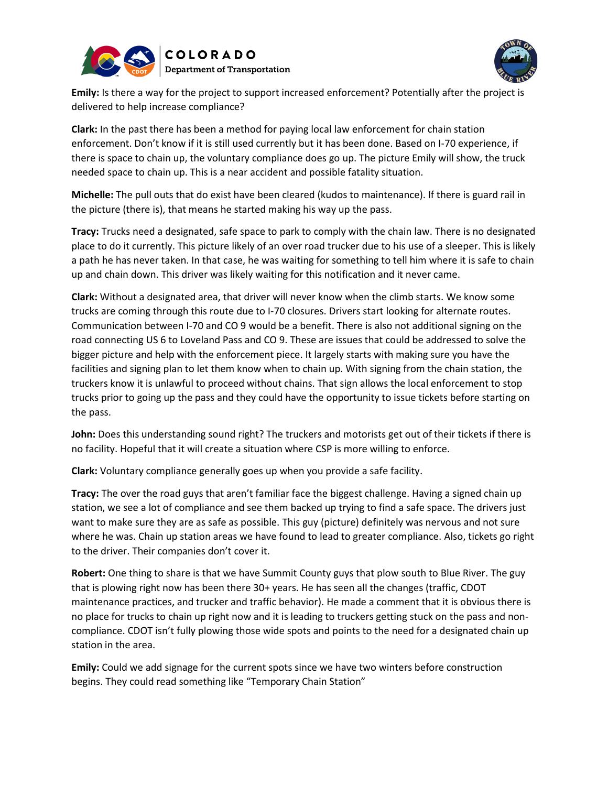



**Emily:** Is there a way for the project to support increased enforcement? Potentially after the project is delivered to help increase compliance?

**Clark:** In the past there has been a method for paying local law enforcement for chain station enforcement. Don't know if it is still used currently but it has been done. Based on I-70 experience, if there is space to chain up, the voluntary compliance does go up. The picture Emily will show, the truck needed space to chain up. This is a near accident and possible fatality situation.

**Michelle:** The pull outs that do exist have been cleared (kudos to maintenance). If there is guard rail in the picture (there is), that means he started making his way up the pass.

**Tracy:** Trucks need a designated, safe space to park to comply with the chain law. There is no designated place to do it currently. This picture likely of an over road trucker due to his use of a sleeper. This is likely a path he has never taken. In that case, he was waiting for something to tell him where it is safe to chain up and chain down. This driver was likely waiting for this notification and it never came.

**Clark:** Without a designated area, that driver will never know when the climb starts. We know some trucks are coming through this route due to I-70 closures. Drivers start looking for alternate routes. Communication between I-70 and CO 9 would be a benefit. There is also not additional signing on the road connecting US 6 to Loveland Pass and CO 9. These are issues that could be addressed to solve the bigger picture and help with the enforcement piece. It largely starts with making sure you have the facilities and signing plan to let them know when to chain up. With signing from the chain station, the truckers know it is unlawful to proceed without chains. That sign allows the local enforcement to stop trucks prior to going up the pass and they could have the opportunity to issue tickets before starting on the pass.

**John:** Does this understanding sound right? The truckers and motorists get out of their tickets if there is no facility. Hopeful that it will create a situation where CSP is more willing to enforce.

**Clark:** Voluntary compliance generally goes up when you provide a safe facility.

**Tracy:** The over the road guys that aren't familiar face the biggest challenge. Having a signed chain up station, we see a lot of compliance and see them backed up trying to find a safe space. The drivers just want to make sure they are as safe as possible. This guy (picture) definitely was nervous and not sure where he was. Chain up station areas we have found to lead to greater compliance. Also, tickets go right to the driver. Their companies don't cover it.

**Robert:** One thing to share is that we have Summit County guys that plow south to Blue River. The guy that is plowing right now has been there 30+ years. He has seen all the changes (traffic, CDOT maintenance practices, and trucker and traffic behavior). He made a comment that it is obvious there is no place for trucks to chain up right now and it is leading to truckers getting stuck on the pass and noncompliance. CDOT isn't fully plowing those wide spots and points to the need for a designated chain up station in the area.

**Emily:** Could we add signage for the current spots since we have two winters before construction begins. They could read something like "Temporary Chain Station"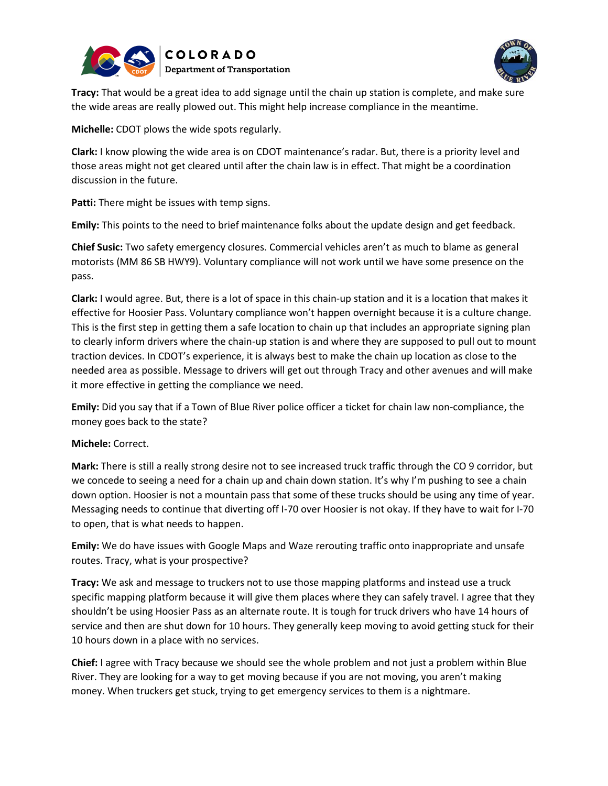



**Tracy:** That would be a great idea to add signage until the chain up station is complete, and make sure the wide areas are really plowed out. This might help increase compliance in the meantime.

**Michelle:** CDOT plows the wide spots regularly.

**Clark:** I know plowing the wide area is on CDOT maintenance's radar. But, there is a priority level and those areas might not get cleared until after the chain law is in effect. That might be a coordination discussion in the future.

**Patti:** There might be issues with temp signs.

**Emily:** This points to the need to brief maintenance folks about the update design and get feedback.

**Chief Susic:** Two safety emergency closures. Commercial vehicles aren't as much to blame as general motorists (MM 86 SB HWY9). Voluntary compliance will not work until we have some presence on the pass.

**Clark:** I would agree. But, there is a lot of space in this chain-up station and it is a location that makes it effective for Hoosier Pass. Voluntary compliance won't happen overnight because it is a culture change. This is the first step in getting them a safe location to chain up that includes an appropriate signing plan to clearly inform drivers where the chain-up station is and where they are supposed to pull out to mount traction devices. In CDOT's experience, it is always best to make the chain up location as close to the needed area as possible. Message to drivers will get out through Tracy and other avenues and will make it more effective in getting the compliance we need.

**Emily:** Did you say that if a Town of Blue River police officer a ticket for chain law non-compliance, the money goes back to the state?

### **Michele:** Correct.

**Mark:** There is still a really strong desire not to see increased truck traffic through the CO 9 corridor, but we concede to seeing a need for a chain up and chain down station. It's why I'm pushing to see a chain down option. Hoosier is not a mountain pass that some of these trucks should be using any time of year. Messaging needs to continue that diverting off I-70 over Hoosier is not okay. If they have to wait for I-70 to open, that is what needs to happen.

**Emily:** We do have issues with Google Maps and Waze rerouting traffic onto inappropriate and unsafe routes. Tracy, what is your prospective?

**Tracy:** We ask and message to truckers not to use those mapping platforms and instead use a truck specific mapping platform because it will give them places where they can safely travel. I agree that they shouldn't be using Hoosier Pass as an alternate route. It is tough for truck drivers who have 14 hours of service and then are shut down for 10 hours. They generally keep moving to avoid getting stuck for their 10 hours down in a place with no services.

**Chief:** I agree with Tracy because we should see the whole problem and not just a problem within Blue River. They are looking for a way to get moving because if you are not moving, you aren't making money. When truckers get stuck, trying to get emergency services to them is a nightmare.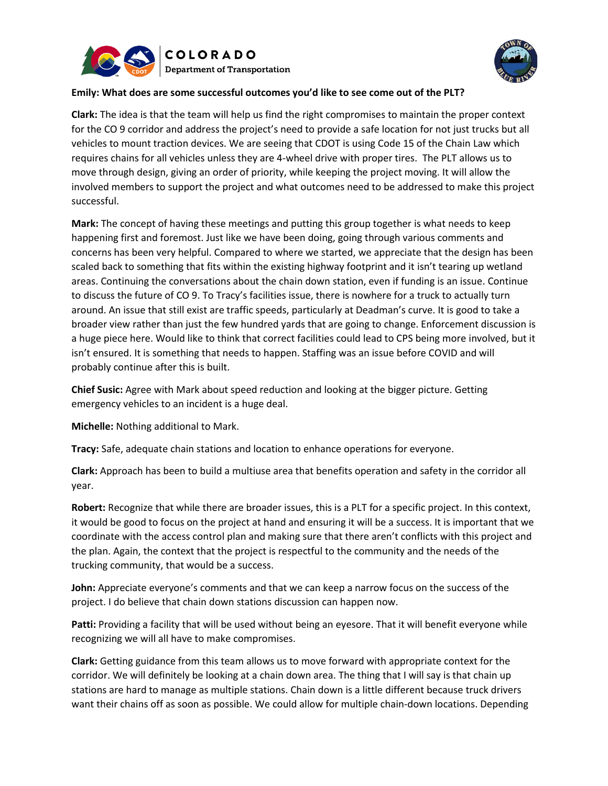



## **Emily: What does are some successful outcomes you'd like to see come out of the PLT?**

**Clark:** The idea is that the team will help us find the right compromises to maintain the proper context for the CO 9 corridor and address the project's need to provide a safe location for not just trucks but all vehicles to mount traction devices. We are seeing that CDOT is using Code 15 of the Chain Law which requires chains for all vehicles unless they are 4-wheel drive with proper tires. The PLT allows us to move through design, giving an order of priority, while keeping the project moving. It will allow the involved members to support the project and what outcomes need to be addressed to make this project successful.

**Mark:** The concept of having these meetings and putting this group together is what needs to keep happening first and foremost. Just like we have been doing, going through various comments and concerns has been very helpful. Compared to where we started, we appreciate that the design has been scaled back to something that fits within the existing highway footprint and it isn't tearing up wetland areas. Continuing the conversations about the chain down station, even if funding is an issue. Continue to discuss the future of CO 9. To Tracy's facilities issue, there is nowhere for a truck to actually turn around. An issue that still exist are traffic speeds, particularly at Deadman's curve. It is good to take a broader view rather than just the few hundred yards that are going to change. Enforcement discussion is a huge piece here. Would like to think that correct facilities could lead to CPS being more involved, but it isn't ensured. It is something that needs to happen. Staffing was an issue before COVID and will probably continue after this is built.

**Chief Susic:** Agree with Mark about speed reduction and looking at the bigger picture. Getting emergency vehicles to an incident is a huge deal.

**Michelle:** Nothing additional to Mark.

**Tracy:** Safe, adequate chain stations and location to enhance operations for everyone.

**Clark:** Approach has been to build a multiuse area that benefits operation and safety in the corridor all year.

**Robert:** Recognize that while there are broader issues, this is a PLT for a specific project. In this context, it would be good to focus on the project at hand and ensuring it will be a success. It is important that we coordinate with the access control plan and making sure that there aren't conflicts with this project and the plan. Again, the context that the project is respectful to the community and the needs of the trucking community, that would be a success.

**John:** Appreciate everyone's comments and that we can keep a narrow focus on the success of the project. I do believe that chain down stations discussion can happen now.

**Patti:** Providing a facility that will be used without being an eyesore. That it will benefit everyone while recognizing we will all have to make compromises.

**Clark:** Getting guidance from this team allows us to move forward with appropriate context for the corridor. We will definitely be looking at a chain down area. The thing that I will say is that chain up stations are hard to manage as multiple stations. Chain down is a little different because truck drivers want their chains off as soon as possible. We could allow for multiple chain-down locations. Depending